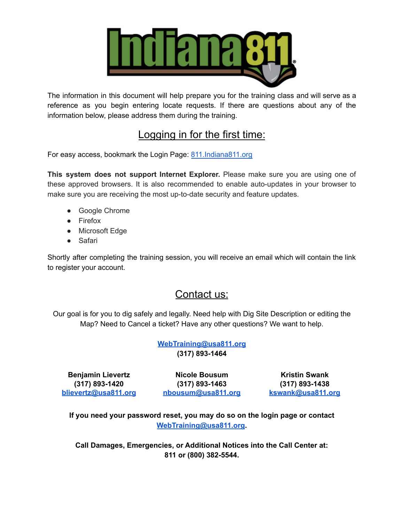

The information in this document will help prepare you for the training class and will serve as a reference as you begin entering locate requests. If there are questions about any of the information below, please address them during the training.

# Logging in for the first time:

For easy access, bookmark the Login Page: [811.Indiana811.org](https://811.indiana811.org/login)

**This system does not support Internet Explorer.** Please make sure you are using one of these approved browsers. It is also recommended to enable auto-updates in your browser to make sure you are receiving the most up-to-date security and feature updates.

- Google Chrome
- Firefox
- Microsoft Edge
- Safari

Shortly after completing the training session, you will receive an email which will contain the link to register your account.

# Contact us:

Our goal is for you to dig safely and legally. Need help with Dig Site Description or editing the Map? Need to Cancel a ticket? Have any other questions? We want to help.

> **[WebTraining@usa811.org](mailto:WebTraining@usa811.org) (317) 893-1464**

**Benjamin Lievertz (317) 893-1420 [blievertz@usa811.org](mailto:blievertz@usa811.org)**

**Nicole Bousum (317) 893-1463 [nbousum@usa811.org](mailto:nbousum@usa811.org)**

**Kristin Swank (317) 893-1438 [kswank@usa811.org](mailto:kswank@usa811.org)**

**If you need your password reset, you may do so on the login page or contact [WebTraining@usa811.org](mailto:WebTraining@usa811.org).**

**Call Damages, Emergencies, or Additional Notices into the Call Center at: 811 or (800) 382-5544.**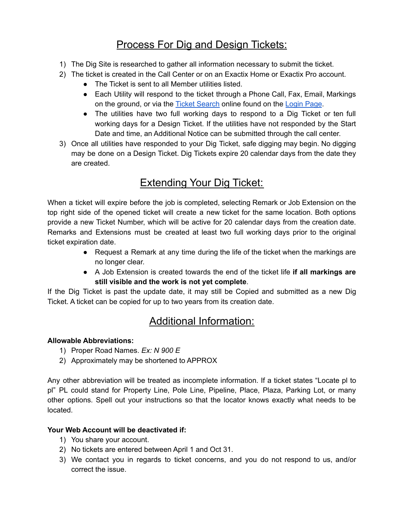# Process For Dig and Design Tickets:

- 1) The Dig Site is researched to gather all information necessary to submit the ticket.
- 2) The ticket is created in the Call Center or on an Exactix Home or Exactix Pro account.
	- The Ticket is sent to all Member utilities listed.
	- Each Utility will respond to the ticket through a Phone Call, Fax, Email, Markings on the ground, or via the Ticket [Search](https://811.indiana811.org/findTicketByNumberAndPhone) online found on the [Login](https://811.indiana811.org/login) Page.
	- The utilities have two full working days to respond to a Dig Ticket or ten full working days for a Design Ticket. If the utilities have not responded by the Start Date and time, an Additional Notice can be submitted through the call center.
- 3) Once all utilities have responded to your Dig Ticket, safe digging may begin. No digging may be done on a Design Ticket. Dig Tickets expire 20 calendar days from the date they are created.

# Extending Your Dig Ticket:

When a ticket will expire before the job is completed, selecting Remark or Job Extension on the top right side of the opened ticket will create a new ticket for the same location. Both options provide a new Ticket Number, which will be active for 20 calendar days from the creation date. Remarks and Extensions must be created at least two full working days prior to the original ticket expiration date.

- Request a Remark at any time during the life of the ticket when the markings are no longer clear.
- A Job Extension is created towards the end of the ticket life **if all markings are still visible and the work is not yet complete**.

If the Dig Ticket is past the update date, it may still be Copied and submitted as a new Dig Ticket. A ticket can be copied for up to two years from its creation date.

# Additional Information:

### **Allowable Abbreviations:**

- 1) Proper Road Names. *Ex: N 900 E*
- 2) Approximately may be shortened to APPROX

Any other abbreviation will be treated as incomplete information. If a ticket states "Locate pl to pl" PL could stand for Property Line, Pole Line, Pipeline, Place, Plaza, Parking Lot, or many other options. Spell out your instructions so that the locator knows exactly what needs to be located.

### **Your Web Account will be deactivated if:**

- 1) You share your account.
- 2) No tickets are entered between April 1 and Oct 31.
- 3) We contact you in regards to ticket concerns, and you do not respond to us, and/or correct the issue.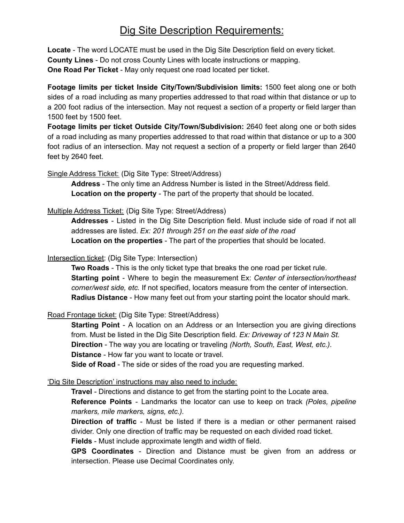# Dig Site Description Requirements:

**Locate** - The word LOCATE must be used in the Dig Site Description field on every ticket. **County Lines** - Do not cross County Lines with locate instructions or mapping. **One Road Per Ticket** - May only request one road located per ticket.

**Footage limits per ticket Inside City/Town/Subdivision limits:** 1500 feet along one or both sides of a road including as many properties addressed to that road within that distance or up to a 200 foot radius of the intersection. May not request a section of a property or field larger than 1500 feet by 1500 feet.

**Footage limits per ticket Outside City/Town/Subdivision:** 2640 feet along one or both sides of a road including as many properties addressed to that road within that distance or up to a 300 foot radius of an intersection. May not request a section of a property or field larger than 2640 feet by 2640 feet.

Single Address Ticket: (Dig Site Type: Street/Address)

**Address** - The only time an Address Number is listed in the Street/Address field. **Location on the property** - The part of the property that should be located.

Multiple Address Ticket: (Dig Site Type: Street/Address)

**Addresses** - Listed in the Dig Site Description field. Must include side of road if not all addresses are listed. *Ex: 201 through 251 on the east side of the road* **Location on the properties** - The part of the properties that should be located.

#### Intersection ticket: (Dig Site Type: Intersection)

**Two Roads** - This is the only ticket type that breaks the one road per ticket rule. **Starting point** - Where to begin the measurement Ex: *Center of intersection/northeast corner/west side, etc.* If not specified, locators measure from the center of intersection. **Radius Distance** - How many feet out from your starting point the locator should mark.

Road Frontage ticket: (Dig Site Type: Street/Address)

**Starting Point** - A location on an Address or an Intersection you are giving directions from. Must be listed in the Dig Site Description field. *Ex: Driveway of 123 N Main St.* **Direction** - The way you are locating or traveling *(North, South, East, West, etc.)*. **Distance** - How far you want to locate or travel.

**Side of Road** - The side or sides of the road you are requesting marked.

#### 'Dig Site Description' instructions may also need to include:

**Travel** - Directions and distance to get from the starting point to the Locate area.

**Reference Points** - Landmarks the locator can use to keep on track *(Poles, pipeline markers, mile markers, signs, etc.).*

**Direction of traffic** - Must be listed if there is a median or other permanent raised divider. Only one direction of traffic may be requested on each divided road ticket.

**Fields** - Must include approximate length and width of field.

**GPS Coordinates** - Direction and Distance must be given from an address or intersection. Please use Decimal Coordinates only.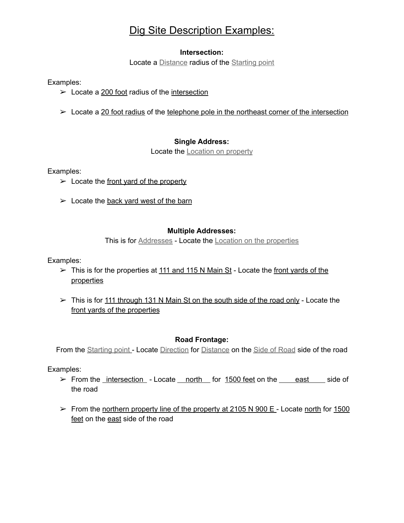# Dig Site Description Examples:

#### **Intersection:**

Locate a Distance radius of the Starting point

Examples:

- $\geq$  Locate a 200 foot radius of the intersection
- $\triangleright$  Locate a 20 foot radius of the telephone pole in the northeast corner of the intersection

### **Single Address:**

Locate the **Location** on property

Examples:

- $\triangleright$  Locate the front yard of the property
- $\geq$  Locate the back yard west of the barn

### **Multiple Addresses:**

This is for Addresses - Locate the Location on the properties

Examples:

- $\triangleright$  This is for the properties at 111 and 115 N Main St Locate the front yards of the properties
- $\triangleright$  This is for 111 through 131 N Main St on the south side of the road only Locate the front yards of the properties

### **Road Frontage:**

From the Starting point - Locate Direction for Distance on the Side of Road side of the road

Examples:

- $\triangleright$  From the intersection Locate north for 1500 feet on the east side of the road
- $\triangleright$  From the northern property line of the property at 2105 N 900 E Locate north for 1500 feet on the east side of the road